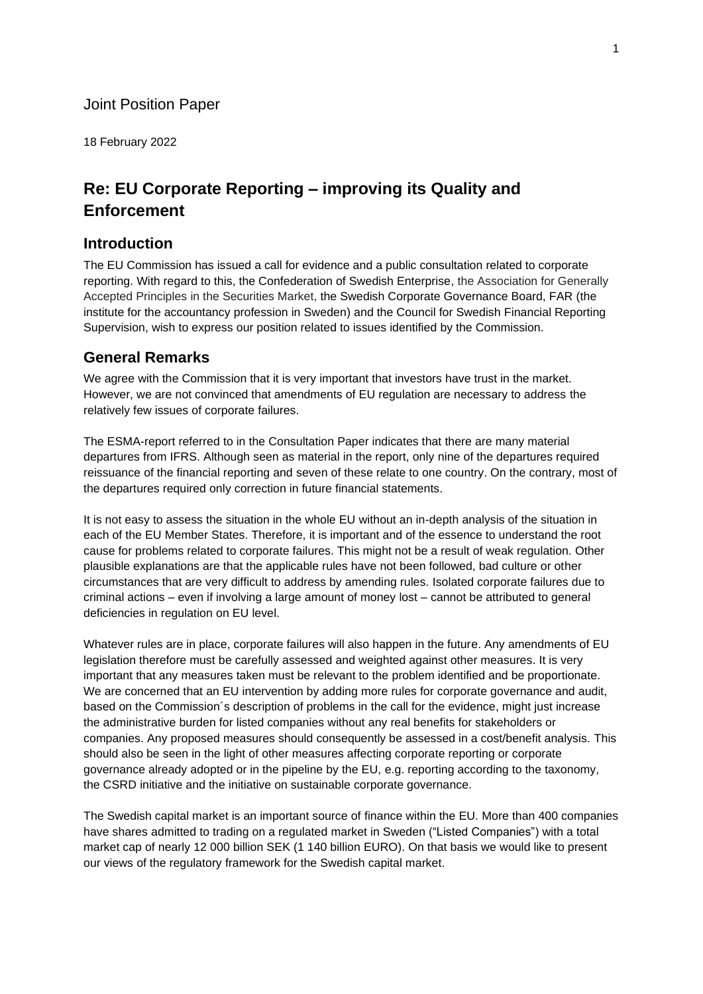#### Joint Position Paper

18 February 2022

# **Re: EU Corporate Reporting – improving its Quality and Enforcement**

#### **Introduction**

The EU Commission has issued a call for evidence and a public consultation related to corporate reporting. With regard to this, the Confederation of Swedish Enterprise, the Association for Generally Accepted Principles in the Securities Market, the Swedish Corporate Governance Board, FAR (the institute for the accountancy profession in Sweden) and the Council for Swedish Financial Reporting Supervision, wish to express our position related to issues identified by the Commission.

#### **General Remarks**

We agree with the Commission that it is very important that investors have trust in the market. However, we are not convinced that amendments of EU regulation are necessary to address the relatively few issues of corporate failures.

The ESMA-report referred to in the Consultation Paper indicates that there are many material departures from IFRS. Although seen as material in the report, only nine of the departures required reissuance of the financial reporting and seven of these relate to one country. On the contrary, most of the departures required only correction in future financial statements.

It is not easy to assess the situation in the whole EU without an in-depth analysis of the situation in each of the EU Member States. Therefore, it is important and of the essence to understand the root cause for problems related to corporate failures. This might not be a result of weak regulation. Other plausible explanations are that the applicable rules have not been followed, bad culture or other circumstances that are very difficult to address by amending rules. Isolated corporate failures due to criminal actions – even if involving a large amount of money lost – cannot be attributed to general deficiencies in regulation on EU level.

Whatever rules are in place, corporate failures will also happen in the future. Any amendments of EU legislation therefore must be carefully assessed and weighted against other measures. It is very important that any measures taken must be relevant to the problem identified and be proportionate. We are concerned that an EU intervention by adding more rules for corporate governance and audit, based on the Commission´s description of problems in the call for the evidence, might just increase the administrative burden for listed companies without any real benefits for stakeholders or companies. Any proposed measures should consequently be assessed in a cost/benefit analysis. This should also be seen in the light of other measures affecting corporate reporting or corporate governance already adopted or in the pipeline by the EU, e.g. reporting according to the taxonomy, the CSRD initiative and the initiative on sustainable corporate governance.

The Swedish capital market is an important source of finance within the EU. More than 400 companies have shares admitted to trading on a regulated market in Sweden ("Listed Companies") with a total market cap of nearly 12 000 billion SEK (1 140 billion EURO). On that basis we would like to present our views of the regulatory framework for the Swedish capital market.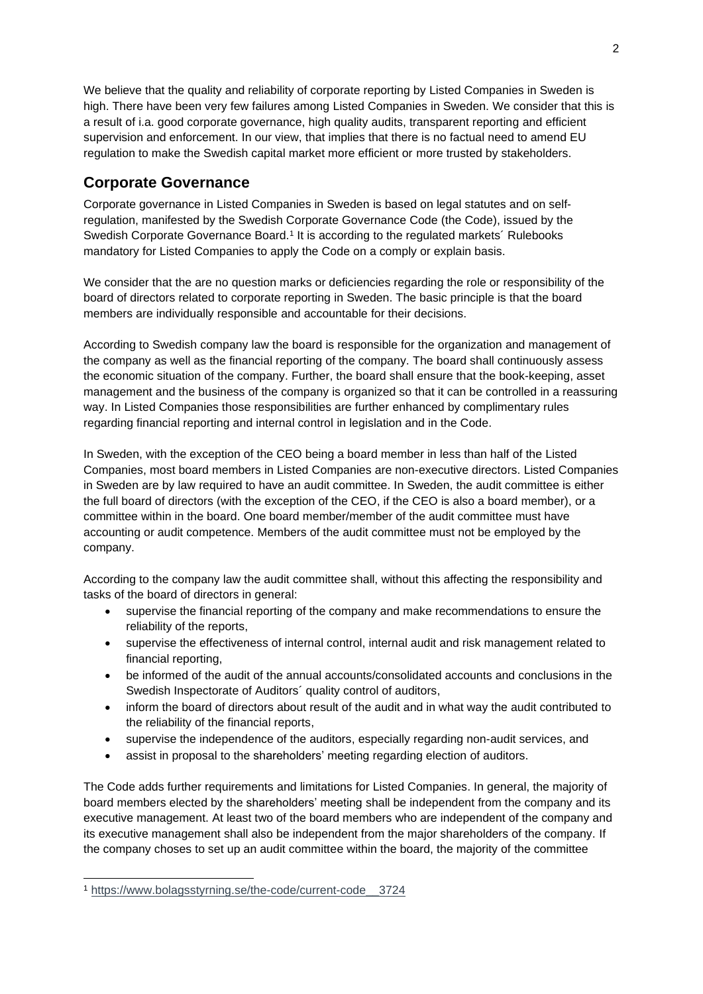We believe that the quality and reliability of corporate reporting by Listed Companies in Sweden is high. There have been very few failures among Listed Companies in Sweden. We consider that this is a result of i.a. good corporate governance, high quality audits, transparent reporting and efficient supervision and enforcement. In our view, that implies that there is no factual need to amend EU regulation to make the Swedish capital market more efficient or more trusted by stakeholders.

### **Corporate Governance**

Corporate governance in Listed Companies in Sweden is based on legal statutes and on selfregulation, manifested by the Swedish Corporate Governance Code (the Code), issued by the Swedish Corporate Governance Board.<sup>1</sup> It is according to the regulated markets' Rulebooks mandatory for Listed Companies to apply the Code on a comply or explain basis.

We consider that the are no question marks or deficiencies regarding the role or responsibility of the board of directors related to corporate reporting in Sweden. The basic principle is that the board members are individually responsible and accountable for their decisions.

According to Swedish company law the board is responsible for the organization and management of the company as well as the financial reporting of the company. The board shall continuously assess the economic situation of the company. Further, the board shall ensure that the book-keeping, asset management and the business of the company is organized so that it can be controlled in a reassuring way. In Listed Companies those responsibilities are further enhanced by complimentary rules regarding financial reporting and internal control in legislation and in the Code.

In Sweden, with the exception of the CEO being a board member in less than half of the Listed Companies, most board members in Listed Companies are non-executive directors. Listed Companies in Sweden are by law required to have an audit committee. In Sweden, the audit committee is either the full board of directors (with the exception of the CEO, if the CEO is also a board member), or a committee within in the board. One board member/member of the audit committee must have accounting or audit competence. Members of the audit committee must not be employed by the company.

According to the company law the audit committee shall, without this affecting the responsibility and tasks of the board of directors in general:

- supervise the financial reporting of the company and make recommendations to ensure the reliability of the reports,
- supervise the effectiveness of internal control, internal audit and risk management related to financial reporting,
- be informed of the audit of the annual accounts/consolidated accounts and conclusions in the Swedish Inspectorate of Auditors´ quality control of auditors,
- inform the board of directors about result of the audit and in what way the audit contributed to the reliability of the financial reports,
- supervise the independence of the auditors, especially regarding non-audit services, and
- assist in proposal to the shareholders' meeting regarding election of auditors.

The Code adds further requirements and limitations for Listed Companies. In general, the majority of board members elected by the shareholders' meeting shall be independent from the company and its executive management. At least two of the board members who are independent of the company and its executive management shall also be independent from the major shareholders of the company. If the company choses to set up an audit committee within the board, the majority of the committee

<sup>1</sup> [https://www.bolagsstyrning.se/the-code/current-code\\_\\_3724](https://www.bolagsstyrning.se/the-code/current-code__3724)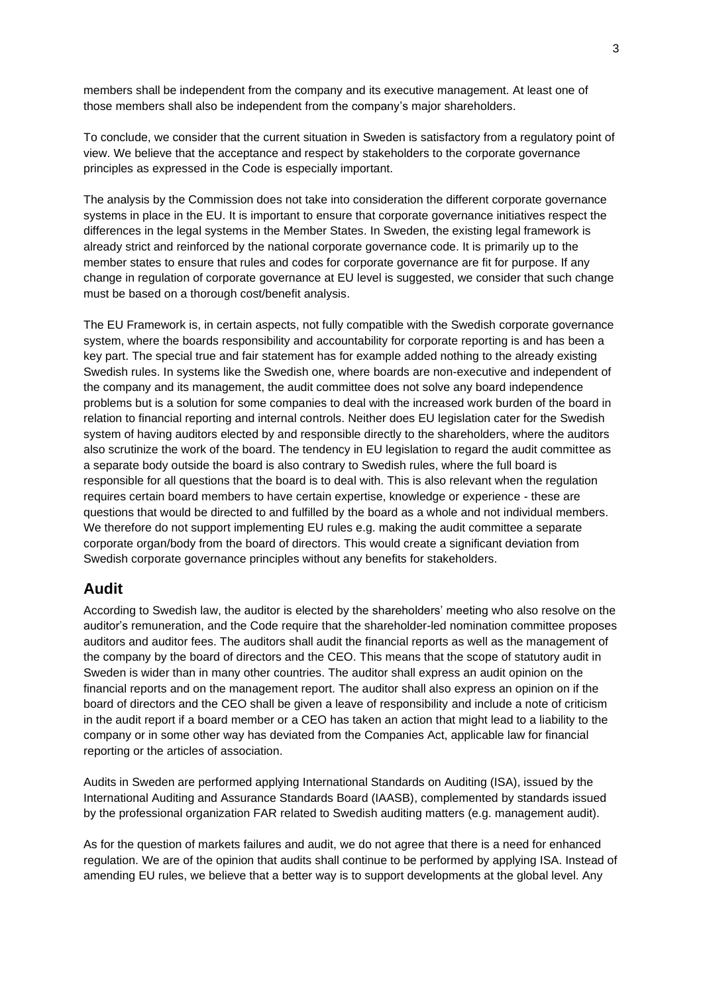members shall be independent from the company and its executive management. At least one of those members shall also be independent from the company's major shareholders.

To conclude, we consider that the current situation in Sweden is satisfactory from a regulatory point of view. We believe that the acceptance and respect by stakeholders to the corporate governance principles as expressed in the Code is especially important.

The analysis by the Commission does not take into consideration the different corporate governance systems in place in the EU. It is important to ensure that corporate governance initiatives respect the differences in the legal systems in the Member States. In Sweden, the existing legal framework is already strict and reinforced by the national corporate governance code. It is primarily up to the member states to ensure that rules and codes for corporate governance are fit for purpose. If any change in regulation of corporate governance at EU level is suggested, we consider that such change must be based on a thorough cost/benefit analysis.

The EU Framework is, in certain aspects, not fully compatible with the Swedish corporate governance system, where the boards responsibility and accountability for corporate reporting is and has been a key part. The special true and fair statement has for example added nothing to the already existing Swedish rules. In systems like the Swedish one, where boards are non-executive and independent of the company and its management, the audit committee does not solve any board independence problems but is a solution for some companies to deal with the increased work burden of the board in relation to financial reporting and internal controls. Neither does EU legislation cater for the Swedish system of having auditors elected by and responsible directly to the shareholders, where the auditors also scrutinize the work of the board. The tendency in EU legislation to regard the audit committee as a separate body outside the board is also contrary to Swedish rules, where the full board is responsible for all questions that the board is to deal with. This is also relevant when the regulation requires certain board members to have certain expertise, knowledge or experience - these are questions that would be directed to and fulfilled by the board as a whole and not individual members. We therefore do not support implementing EU rules e.g. making the audit committee a separate corporate organ/body from the board of directors. This would create a significant deviation from Swedish corporate governance principles without any benefits for stakeholders.

### **Audit**

According to Swedish law, the auditor is elected by the shareholders' meeting who also resolve on the auditor's remuneration, and the Code require that the shareholder-led nomination committee proposes auditors and auditor fees. The auditors shall audit the financial reports as well as the management of the company by the board of directors and the CEO. This means that the scope of statutory audit in Sweden is wider than in many other countries. The auditor shall express an audit opinion on the financial reports and on the management report. The auditor shall also express an opinion on if the board of directors and the CEO shall be given a leave of responsibility and include a note of criticism in the audit report if a board member or a CEO has taken an action that might lead to a liability to the company or in some other way has deviated from the Companies Act, applicable law for financial reporting or the articles of association.

Audits in Sweden are performed applying International Standards on Auditing (ISA), issued by the International Auditing and Assurance Standards Board (IAASB), complemented by standards issued by the professional organization FAR related to Swedish auditing matters (e.g. management audit).

As for the question of markets failures and audit, we do not agree that there is a need for enhanced regulation. We are of the opinion that audits shall continue to be performed by applying ISA. Instead of amending EU rules, we believe that a better way is to support developments at the global level. Any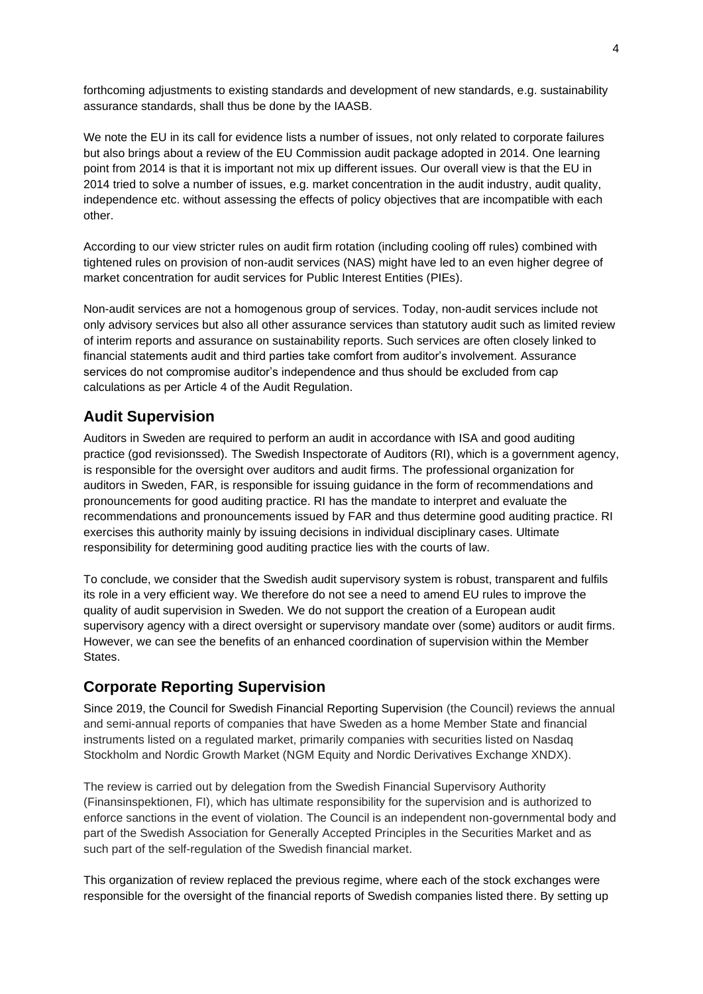forthcoming adjustments to existing standards and development of new standards, e.g. sustainability assurance standards, shall thus be done by the IAASB.

We note the EU in its call for evidence lists a number of issues, not only related to corporate failures but also brings about a review of the EU Commission audit package adopted in 2014. One learning point from 2014 is that it is important not mix up different issues. Our overall view is that the EU in 2014 tried to solve a number of issues, e.g. market concentration in the audit industry, audit quality, independence etc. without assessing the effects of policy objectives that are incompatible with each other.

According to our view stricter rules on audit firm rotation (including cooling off rules) combined with tightened rules on provision of non-audit services (NAS) might have led to an even higher degree of market concentration for audit services for Public Interest Entities (PIEs).

Non-audit services are not a homogenous group of services. Today, non-audit services include not only advisory services but also all other assurance services than statutory audit such as limited review of interim reports and assurance on sustainability reports. Such services are often closely linked to financial statements audit and third parties take comfort from auditor's involvement. Assurance services do not compromise auditor's independence and thus should be excluded from cap calculations as per Article 4 of the Audit Regulation.

# **Audit Supervision**

Auditors in Sweden are required to perform an audit in accordance with ISA and good auditing practice (god revisionssed). The Swedish Inspectorate of Auditors (RI), which is a government agency, is responsible for the oversight over auditors and audit firms. The professional organization for auditors in Sweden, FAR, is responsible for issuing guidance in the form of recommendations and pronouncements for good auditing practice. RI has the mandate to interpret and evaluate the recommendations and pronouncements issued by FAR and thus determine good auditing practice. RI exercises this authority mainly by issuing decisions in individual disciplinary cases. Ultimate responsibility for determining good auditing practice lies with the courts of law.

To conclude, we consider that the Swedish audit supervisory system is robust, transparent and fulfils its role in a very efficient way. We therefore do not see a need to amend EU rules to improve the quality of audit supervision in Sweden. We do not support the creation of a European audit supervisory agency with a direct oversight or supervisory mandate over (some) auditors or audit firms. However, we can see the benefits of an enhanced coordination of supervision within the Member **States** 

# **Corporate Reporting Supervision**

Since 2019, the Council for Swedish Financial Reporting Supervision (the Council) reviews the annual and semi-annual reports of companies that have Sweden as a home Member State and financial instruments listed on a regulated market, primarily companies with securities listed on Nasdaq Stockholm and Nordic Growth Market (NGM Equity and Nordic Derivatives Exchange XNDX).

The review is carried out by delegation from the Swedish Financial Supervisory Authority (Finansinspektionen, FI), which has ultimate responsibility for the supervision and is authorized to enforce sanctions in the event of violation. The Council is an independent non-governmental body and part of the Swedish Association for Generally Accepted Principles in the Securities Market and as such part of the self-regulation of the Swedish financial market.

This organization of review replaced the previous regime, where each of the stock exchanges were responsible for the oversight of the financial reports of Swedish companies listed there. By setting up